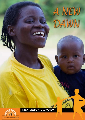# A NEW DAWN

JUIEL



ANNUAL REPORT 2009/2010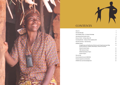

## **CONTENTS**



| About Us                                                                                                                                     | 3  |
|----------------------------------------------------------------------------------------------------------------------------------------------|----|
| <b>Executive Message</b>                                                                                                                     | 4  |
| How KYEEMA started – Dr Stewart Routledge                                                                                                    | 6  |
| <b>International Rural Poultry Centre</b>                                                                                                    | 8  |
| Director Profile - Dr Robyn Alders AO                                                                                                        | 10 |
| Founding Member - Professor Peter Spradbrow AM                                                                                               | 11 |
| Executive Secretary - Celia Grenning                                                                                                         | 12 |
| KYEEMA Projects                                                                                                                              | 14 |
| Strengthening rural livelihoods and food security through improving village<br>poultry production in Malawi, Mozambique, Tanzania and Zambia | 14 |
| Solomon Islands Project                                                                                                                      | 15 |
| <b>TEBE Indonesia Project</b>                                                                                                                | 16 |
| <b>AHEAD Mozambique Project</b>                                                                                                              | 16 |
| <b>Student Projects</b>                                                                                                                      | 17 |
| How we help                                                                                                                                  | 18 |
| Annual Audited Accounts 2009/2010                                                                                                            | 19 |
| Financial supporters and donations                                                                                                           | 20 |
| <b>KYEEMA Team and Acknowledgements</b>                                                                                                      | 21 |
|                                                                                                                                              |    |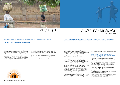

# ABOUT US

**'KYEEMA' IS AN AUSTRALIAN ABORIGINAL WORD MEANING 'OF THE DAWN'. UNDERPINNING OUR WORK IS OUR DEVELOPMENT PHILOSOPHY THAT THROUGH HELPING PEOPLE TO IMPROVE THEIR LIVELIHOODS, WE WILL ASSIST THEM TO BRING NEW HOPE INTO THEIR LIVES AND TO HAVE A NEW DAWN.**

The KYEEMA Foundation (KYEEMA) is working to build a sustainable future for poor communities mainly in rural and peri-urban Africa. Formed in 2003, KYEEMA supports in the development of treatments and cures for diseases affecting plants, animals and people living in developing countries, as well as helping with the development of technology to assist in improving the living standards of individuals in developing countries. KYEEMA is a not-for-profit organisation based in Brisbane, Australia.

KYEEMA is involved with a number of activities that seek to help individuals help themselves, including chicken rearing and vaccination activities, assistance for AIDS orphans, and research to reduce cyanide toxicity from eating bitter cassava.

At KYEEMA we believe that it does not require huge amounts of money to achieve large improvements in rural family incomes and health, and consequently welfare of family members.

# EXECUTIVE MESSAGE

CHAIR, Dr Stewart Routledge

**THE KYEEMA FOUNDATION CONSISTS OF PEOPLE WHO HAVE WORLD BEST EXPERTISE IN THEIR AREAS. THEIR DEDICATION, COMMITMENT AND HIGH STANDARDS, COUPLED WITH AUSTRALIAN TECHNOLOGY, ENSURE BENEFICIAL AND SUSTAINABLE OUTCOMES.**

A major highlight every year is our on-going support for Newcastle disease (ND) vaccination programs in various countries for rural smallholder chicken owners, including women and child headed households. All of us at KYEEMA love to see the delight they get from improving their livelihoods and family welfare through improved poultry production.

We completed another poultry project in Mozambique, funded by AHEAD, titled "Improvement of village poultry production by communities in the Limpopo National Park Support Zone in Gaza Province". We have also seen the start of a new ND control program in Gaza Province for Save the Children and funded by the European Commission. In addition, we have received a two year extension on our AusAID funded ND control projects in Tanzania, Malawi, Mozambique and Zambia.

KYEEMA has also partnered with the Australian National University in Canberra to undertake research into the disease "Konzo" that cripples many people every year from eating cassava high in cyanide, which mostly happens in drought years. This was a particularly rewarding project as through the use of a small amount of funds invested, research found ways to prepare the cassava flour to reduce the cyanide content by about 65%. These recommendations have been passed onto other groups to



spread amongst the communities and across continents so it may benefit many African countries, and also other nations worldwide.

As KYEEMA is small group with very low overheads and very committed people, virtually all of our funds are spent in the field helping disadvantaged people and making a major contribution to their welfare and livelihood.

KYEEMA has expertise to help rural people around the developing world in a sustainable way. This help is at minimal cost as most administrative staff in KYEEMA provide their time voluntarily. The largest issue is obtaining adequate funding to undertake more projects around the world, as we know we can provide improved and sustainable livelihoods to rural communities through our activities in a cost effective way.

If I could change one thing it would be to pay our wonderful volunteers so they could spend more time on projects and expanding our activities. Our people are very competent as well as committed, and if they were employed full time on KYEEMA activities, amazing things could be achieved.

KYEEMA's aspiration for the future is to support more families in more countries to help themselves through successful, sustainable poultry raising and other activities.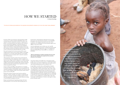# HOW WE STARTED

Dr Stewart Routledge

"THE IDEA OF KYEEMA WAS INSPIRED BY THE AMAZING DEVELOPMENTS COMING OUT OF MY VERY HOME TOWN, BRISBANE."

In the late 1990s I was involved in a Newcastle disease (ND) control project in Ghana funded by World Bank. Here I was required to identify exceptional consultants to implement the project. I was amazed that the best expertise in the world was on my own doorstep in Brisbane. I found the laboratory of Professor Peter Spradbrow and his field associate Dr Robyn Alders at the University of Queensland Veterinary School, and their amazing vaccination development funded by the Australian Centre for International Agricultural Research (ACIAR).

Peter had developed the first thermotolerant ND vaccines available and the master seed was made available to developing countries free of cost. Peter and his laboratory were training developing country Government staff to make the vaccine in their own laboratories.

'Thermotolerant' means the vaccine can be stored and used in the field without strict refrigeration, which is usually not an option in many villages without refrigerators or reliable electricity supply. Robyn had extensively tested these vaccines under field conditions and developed sustainable ND vaccination programs implemented through community based organisations, where services are paid for at all steps.

I began working with GRM to help implement an Australian Government funded AusAID program to set up sustainable ND vaccination programs in Mozambique, Malawi and Tanzania using the I-2 vaccine. Dr Robyn Alders was the project leader and this project ran from 2002-2005.

During these projects I became aware that this world best expertise, owned by Australia, was in danger of dispersing and being lost to Australia. I decided something needed to be done about this and spoke to Peter about my ideas. Slowly the concept of the KYEEMA Foundation was born.

Despite much planning and organising meetings with many interested parties, it was only when Celia Grenning came on board with me, and through her enthusiasm for the concept, that progress was made with the formation of the KYEEMA Foundation. Celia organised registration and other official requirements for establishment, and with financial support from GRM, we were born in 2003.

Our first small projects were in follow-up to the AusAID Southern Africa ND work and also in training and human health. Later we started larger ND projects and so we established the International Rural Poultry Centre (IRPC) as a subsidiary of KYEEMA.

#### "IRPC has developed an excellent reputation because of the high technical capability of its people and the successful outcomes of our projects."

Our projects improve the livelihoods of rural and peri-urban people, many of whom are from women or child headed families (as their parents have died of AIDS) and as such poultry are the only income producing assets they can afford to own.

In early 2003, over lunch with an old friend Simon Gaylard, the "Small Things" program was formed. We wanted to fund some small projects which would maximise effect while cutting out administration costs. The first of these projects was started in July 2003 funding Matilde Emilio Jorge Nacuvaneque from Nampula Province, to undertake a four year university degree in Tourism Planning and Promotion. Matilde had won a scholarship to university, but a more powerful village person took it from her for his son. Now qualified, she is using her skills to help other local people and development of her poor rural region to reduce poverty through tourism.

*KYEEMA and IRPC have now grown substantially and we are working in several countries and on large projects. From our small board of voluntary directors it is amazing to see our growth in several years, and we look forward excitedly to the future.*

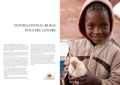The International Rural Poultry Centre (IRPC) is a key initiative of the KYEEMA Foundation. The IRPC works with governments, communities, farmers and their families to promote cost-efficient and sustainable improvements to village poultry production in order to improve the livelihood of rural and periurban families worldwide.

Village poultry plays a crucial role in rural households in Africa, particularly in times of crisis. Poultry is one of the few natural capital assets owned by many households, especially those who live on or below the poverty line.

ND has been identified as one of the major constraints to rural poultry production in Sub-Saharan Africa. ND outbreaks can occur at any period of the year but frequently peak during the dry season and devastate flocks killing 50 to 100 percent of the standing flock. ND can be prevented by vaccination. When ND comes through a village, the effect is devastating. Protecting this vital family asset is effectively helping to save villagers from starvation in African countries.

Mass vaccination campaigns implemented using appropriate vaccine and vaccination methods are necessary to reduce outbreaks of ND in village poultry. The success of the campaigns requires a suitable vaccine such as thermotolerant I-2 ND vaccine, effective extension materials and methods, community-based training and education activities and long-term commitment.

The IRPC aims to ensure a sustainable supply of the vaccine and provide training and monitoring in the efficient production, quality control and field use of I-2 Newcastle disease vaccine. The IRPC also aids in the provision of appropriate training for all groups involved with village poultry production, from farmers to researchers, both internationally and in Australia. Not only are vaccination programs the only protection these villages have against ND, our programs train vaccinators in villages and teach village people how and why to vaccinate, creating a self-sufficient and sustainable solution to ND.

All of the work that is being undertaken on vaccinating village chickens using thermotolerant vaccines would not have been possible if it were not for the work of dedicated people at the Veterinary School in the University of Queensland (Professor Peter Spradbrow) and at ACIAR (Dr John Copland), who saw the need for this type of vaccine and worked to ensure it was developed and could be made freely available to those governments wishing to use it domestically for non-commercial purposes.





# INTERNATIONAL RURAL POULTRY CENTRE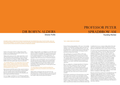## DR ROBYN ALDERS

#### Director Profile

DR ROBYN ALDERS IS A DIRECTOR OF KYEEMA FOUNDATION AND THE INTERNATIONAL RURAL POULTRY CENTRE, AND IS AN EXCEPTIONAL MEMBER OF THE KYEEMA TEAM. SHE ALSO PROVIDES TECHNICAL BACKSTOPPING AND ADVICE ON IMPROVING VILLAGE POULTRY PRODUCTION AND THE CONTROL OF NEWCASTLE DISEASE.

I believe in the positive benefits of village poultry and the changes we are making to the communities, and that is why I became involved with KYEEMA.

Village poultry projects provide a unique opportunity to work with rural and peri-urban communities to increase their food security, their income and their knowledge. Improved village poultry production can contribute to HIV and AIDS mitigation, wildlife conservation, gender equity and poverty alleviation.

"The 'KYEEMA difference' is the organisation's focus on small, gender-sensitive, targeted projects that build capacity both within communities and government services implemented largely by nationals who have a demonstrated commitment to the development of their country."

My involvement with ND control in Africa started in Zambia in 1989 and I was able to get involved thanks to financial support from the Australian Centre for International Agricultural Research and mentorship from Professor Peter Spradbrow, Dr John Copland and Dr Denis Hoffmann.

I was very happy to participate in a recent Project Coordinating Committee (PCC) meeting for the current AusAID ND project in

Zambia. During the PCC, I was delighted to see that ND control activities in Malawi, Mozambique and Tanzania have grown, that each government is committed to the program and that Zambia is now starting local production of the I-2 ND vaccine. It is also absolutely wonderful to see the Australian Government reengaging in Africa with such an array of constructive programs.

Throughout my time with KYEEMA, I have been privileged to meet and work with strong, intelligent and resourceful people of diverse backgrounds from community members in remote communities all the way through to senior officials with the United Nations. Witnessing the power of human spirit has been absolutely inspirational.

it suitable also for use as a vaccine in village chicken flocks after selection for enhanced heat stability. He undertook successful laboratory and field trials in Asian countries with the V4 vaccine.

#### "If I could change one thing it would be providing these communities with access to education and increased career choices."

Village poultry are frequently used to pay school fees and improving the diet of children in the first five years of life is vital to ensuring that they can reach their full potential with regards to both cognitive ability and their physical development.

# PROFESSOR PETER SPRADBROW AM Founding Member

#### "WHY I JOINED HANDS WITH KYEEMA".

Emeritus Professor Peter Spradbrow AM is one of the founding members of the KYEEMA foundation, and the first chair of its subsidiary centre, The International Rural Poultry Centre. This has facilitated him to continue his keen interest in improving the livelihoods of poor rural households in developing countries, particularly through poultry keeping.

After graduating dux of year with a B.V.Sc. in 1957 at the University of Queensland (UQ), he received the first Ph.D. to be awarded through the School of Veterinary School at UQ in 1961, and then undertook post-doctoral studies at the University of Cambridge School of Veterinary Science in 1961-62. Routine production of cell cultures made possible the development of virology as a new science, which Peter enthusiastically grasped whilst there.

Peter was employed as a virologist in the School of Veterinary Science, UQ, 1962 to retirement in 1999. He worked with viruses in most species of domestic animal and poultry. Successes included a vaccine for Bovine Ephemeral Fever and immunotherapy of bovine eye cancers. As part of an ACIAR study, he developed an improved vaccine for the viral disease duck plague that causes serious losses in Vietnam and other countries.

He developed a special interest in Newcastle disease virus which causes major losses of poultry in most developing countries. This resulted in the V4 strain of Newcastle disease virus being accepted as a vaccine by the Australian poultry industry. Special properties of V4 included moderate thermotolerance (highly suitable in villages without electricity or refrigeration), avirulence, ability to spread between chickens and oral infectivity which made

V4 vaccine was tied to commercial producers and was produced in expensive large 1,000 dose vials when village poultry people owned 10-25 chickens, so Peter then undertook studies for ACIAR that developed an alternative vaccine, strain I-2, with properties similar to V4. Many successful trials were completed and I-2 has been accepted in many developing countries in Asia and Africa. I-2 master seed is held at the UQ and is available without cost to developing countries at Peter's and ACIAR's insistence, for local production of vaccine, thus keeping the vaccine cost low so rural poultry owners could afford it. I-2 vaccine has made a huge difference to the living standards of poor rural families many of whom are women or child headed families (as a result of AIDS). Poultry are kept for food, but more importantly to provide funds to pay school fees and medical bills. Peter has participated in numerous workshops and training sessions in developing countries in Asia and Africa, to train local people on the simple techniques used to make the vaccine locally and how to administer it under village conditions.

Peter has received many awards for his outstanding life long work including becoming a Member Order of Australia; Medal for Agriculture and Rural Development, Government of Vietnam; AIDAB Award for Excellence in Overseas Aid; Clunies Ross Award for Science and Technology; Australian Poultry Award; Kesteven Medal for international excellence in veterinary science, Australian Veterinary Association; and Laureate, Tech Museum of Innovation, California.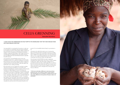# CELIA GRENNING

Executive Secretary

"I LOVE TO SEE THE COMMUNITIES WE HELP HAPPY IN THE KNOWLEDGE THAT THEY HAVE ENOUGH FOOD FOR THEIR FAMILIES EVERY DAY."

I am responsible for overseeing all of the projects to make sure we are meeting our commitments. We have projects funded by the Australian government in Mozambique, Malawi, Zambia and Tanzania. We also have projects with European Commission funding in Angola and Mozambique. Other smaller activities are occurring with FAO funding and also with smaller donations from the GRM Social Club and individual donations (especially from Jill Cameron).

I am motivated to assist KYEEMA because I know the Foundation's projects have a significant impact on food security and livelihoods, for poor rural women and children in particular. To know that they can feed their children and have a chicken to sell when they have to pay school fees or take their child to the health clinic is also a really good feeling.

We work mostly in one very specific area, and that is working with both governments and NGOs to set up ND vaccine production and implement vaccination programs with community vaccinators in village chickens. So we are not trying to do everything for everyone. By being able to work specifically in one area, we have more chance of being able to achieve a sustainable program in each of these countries. They will not be dependent on us – instead they will be able to achieve sustainable livelihoods in their own right by simply paying for a service - to vaccinate their chickens every four months. This vaccine was developed in Australia, funded by ACIAR and with the research undertaken by The Veterinary Faculty of Queensland University. So it is a great Australian story and one that our Government should be very

proud of. It is an incredibly altruistic thing for a government to do.

One person who really left his mark on me is Laurence Jose Jorge. He became the head of his family at just age 15, looking after his four younger sisters and brothers, when both his parents died of AIDS. To see children being able to look after themselves after just a year, simply through giving them three chickens and a rooster plus one year's free vaccine, was really special.

My involvement with KYEEMA has made me appreciate everything I have and how lucky I am to have it. I rarely complain if things aren't "right", like when people complain that our government doesn't look after us well enough. We are so lucky to have the social networks in place that catch those in need, even if there is some abuse of those networks. Imagine not having them and knowing that if there's a drought and you can't grow any food, you will starve.

"I think we can all make a difference in some way, and just because we can't "see" poverty, it doesn't mean it doesn't exist. Knowing that you are working on a program that can and does make a difference to the poorest of the poor makes it all worthwhile."

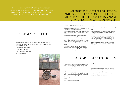# KYEEMA PROJECTS

STRENGTHENING RURAL LIVELIHOODS AND FOOD SECURITY THROUGH IMPROVING VILLAGE POULTRY PRODUCTION IN MALAWI, MOZAMBIQUE, TANZANIA AND ZAMBIA

SOLOMON ISLANDS PROJECT AusAID TEBE INDONESIA AHEAD MOZAMBIQUE PROJECT

STUDENT PROJECTS



### STRENGTHENING RURAL LIVELIHOODS AND FOOD SECURITY THROUGH IMPROVING VILLAGE POULTRY PRODUCTION IN MALAWI, MOZAMBIQUE, TANZANIA AND ZAMBIA

In July 2009, the IRPC of the KYEEMA Foundation was given a one-year grant by AusAID to continue project activities in Mozambique, Malawi and Tanzania, and to set up a new program in Zambia for ND control in village chickens. Funding source The Australian Agency for International Development (AusAID)

The implementation of activities focused on an integrated program encompassing institutional strengthening of the Government livestock sector and NGOs and promoting rural community participation and ownership of the ND control program. Technical assistance was provided by the IRPC, whose specialists have over 20 years of experience in ND control and improving village poultry production in Africa and Asia.

The Ministry of Agriculture /Livestock Development and Fisheries in Malawi, Mozambique, Tanzania and Zambia, the Central Veterinary Laboratories and the Directorate of Animal Science of the Mozambican Agricultural Research Institute.

The project aimed to decrease poultry disease and increase village poultry production to contribute to food security and poverty alleviation. Partners The project strengthened the relationship between stakeholders in order to effectively implement ND control programs and successfully achieved a decrease in chicken mortality rates caused by ND in project areas. Overall, the project improved livelihoods, increased gender equality, food security and poverty alleviation in Malawi, Mozambique, Tanzania and Zambia through ND control, and the improvement of husbandry practices. The project assisted in strengthening the capacity of the Governments of Malawi, Mozambique, Tanzania and Zambia to develop and implement efficient and sustainable ND control and village poultry extension programs to improve the welfare of rural communities.

#### Impact

# SOLOMON ISLANDS PROJECT

The KYEEMA Foundation supported a project implemented by Russell Parker in the Solomon Islands to train people in the villages as trainers to educate the village on improved village chicken management. The training of village people was needed to increase knowledge and skills on how to maintain healthy chickens to ensure sustainable income.

The project aimed to train people, particularly women on how to improve the health and productivity of their chickens and how to teach this to others. The project target was for each person trained in these workshops to train twenty other village poultry farmers. These trainers were also involved in expanding the use of these concepts across the western Pacific area.

#### Partner

Russell Parker (www. kaikokorako.com).

#### Funding Source

GRM International

#### Impact

Each training workshop conducted trained local farmers in village chicken keeping. In addition the project assisted in the consolidation of facilities and personnel at existing farmer schools and establishing new farmer schools.

From this training and assistance the people in the villages have benefited from sustained food and income.

*WE ARE ABLE TO DISTRIBUTE VACCINES, EDUCATE LOCAL COMMUNITIES AND SPREAD AWARENESS OF NEWCASTLE DISEASE PREVENTION METHODS THROUGH OUR HIGHLY SUCCESSFUL PROJECTS, WHICH OPERATE IN AFFECTED COUNTRIES.*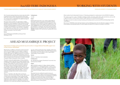# AHEAD MOZAMBIQUE PROJECT

Illegal hunting of wildlife by communities around conservation areas such as national parks has a severe impact on migratory and non-migratory wildlife populations Subsistence bushmeat hunting, which makes up a significant proportion of poaching, is attributed primarily to a lack of sufficient alternative sources of protein and income. One approach to reducing bushmeat hunting and its consequent threat to conservation is to improve the ability of people to subsist on alternative sources of protein.

The project oversaw the implementation of three vaccination campaigns in March/April, July and November/December 2009 in communities surrounding the Limpopo National Park in Gaza Province of Mozambique. In total 21 community vaccinators, including 10 women, were selected and trained to implement the campaigns during the Participatory Rural Appraisal and gender analysis conducted by IRPC/KYEEMA, which focused on identifying, training and supporting community vaccinators as well as mobilising support from their villages. A series of community meetings were also held to increase the project awareness.

Ministry of Agriculture staff, village leaders and selected vaccinators were also involved in project activities which focused on improving the understanding of human nutritional intake in a visualized and understandable way. The IRPC/ KYEEMA collected pre- and post-vaccination campaign serum samples in collaboration with the Ministry of Agriculture to monitor the effectiveness of the vaccine and vaccination. Monitoring activities

All of the project partners had serious concerns about the decline Funding Source of natural resources in Mutis Timau Mountain in West Timor (NTT). Poor natural resource management has been identified as one of the key factors contributing to the rapidly increasing risk of natural disaster on the Island.

> were also carried out during the project, including a field visit by IRPC Director, Dr Robyn Alders, in May 2009. Training methods and materials were also developed to assist in improving the understanding of human nutrition.

#### Partner:

Ministry of Agriculture, local communities.

#### Funding source:

The AHEAD Great Limpopo Transfrontier Conservation Area Seed Grant from USAID.

#### Impact:

IRPC/KYEEMA worked in 14 villages, indirectly reaching a total population of 17,792 during the project. A total of 13,137 chickens were vaccinated in 2009, which more than doubled the number of vaccinated chickens in 2008. A cold chain system was established including a refrigerator and cooler boxes with ice packs.

This project has also contributed towards the increase in chickens, opportunity to improve cash income and enhancing the empowerment of women farmers who participated in vaccination campaign. Local farmers also began to seek knowledge of managing other poultry diseases. The project has enabled improvements to be observed and assessed, providing valuable lessons for extension or future projects.



#### Improvement of village poultry production by communities in Limpopo National Park (LNP) support zone in Gaza Province, Mozambique

### AusAID TEBE INDONESIA

This project aimed to identify new opportunities to address degradation of natural resources in Eastern Indonesia. Working through local partners, KYEEMA contributed to this through activities involving developing an inventory of emissions level and a feasibility study. KYEEMA set up workshops for the partners to reach agreements on budgets and on the issues stakeholders faced. They involved the community in group discussions and feasibility assessments of the forest carbon.

#### Partner

Yayasan Peduli Sesama (SANLIMA) and Yayasan Timor Membangun (YTM).

#### AusAID

#### Impact

Following this project there is now a deeper understanding of deforestation and forest degradation by local NGOs and local government. There is enhanced community engagement, as they understand the need to better manage the natural resources. The project highlighted the key role the forest plays in the economic and cultural life of communities. The project clearly showed that Reducing Emissions from Deforestation and Forest Degradation (REDD) is feasible in NTT and that there is political will to invest in REDD.

#### 'TOWARDS ENABLING MITIGATION OF CLIMATE CHANGE THROUGH PROMOTION OF COMMUNITY BASED ECONOMIC GROWTH'



Fifteen students from the Queensland University of Technology participated in a student project for the KYEEMA Foundation.

- 
- The students came from a variety of disciplines including journalism, advertising, public relations, film and television, and were able
- Throughout 12 weeks the students developed marketing and branding material, a promotional DVD, advertising designs and this
	-

to apply their skills in a real life situation and gain valuable experience for their professional portfolios.

Annual Report.

Since most of KYEEMA's current staff and volunteers are busy facilitating projects, they have little time to improve or develop current publicity and marketing materials. The draft templates developed by the students are invaluable to KYEEMA.

#### QUEENSLAND UNIVERSITY OF TECHNOLOGY PROJECT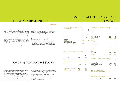Jorge comes from Chibonzane in Manjacaze district. He is 45 years old, is married and is the father of 7 children.

As a young adolescent, Jorge always dreamed of becoming a teacher but his dream never materialised because his family had financial problems. As a little boy Jorge started to farm chickens with his parents. After getting married he started to farm his own chickens but his chickens kept dying from Newcastle disease.

When vaccination campaigns against Newcastle disease started in

2001, Jorge tried his luck with chickens and decided to participate in the vaccination campaign. "Over the years, I have bought goats and even a cow. At the moment I have 76 chickens."

On top of farming chickens to maintain his livelihood, Jorge passes the majority of his time maintaining his crops. As his dream of becoming a teacher never materialised, he now dreams of becoming a farmer because through farming, he will have the opportunity to support his family.

### JORGE NGUEVENDE'S STORY

# ANNUAL AUDITED ACCOUNTS 2009/2010

Leonor Chauque lives in the village Eduardo Mondlane of Chicualacuala district. Leonor is a single mother of three children and is the head of the household. In Mozambique, it is common to find women as the household head. These women, who were once dependent on their husbands, struggle with many difficulties in managing the household because they need income to support their family.

Leoner's life has not been easy since her husband abandoned her when she was pregnant with their third child. She relies on her garden plot and chickens to provide enough supplies to support her family. "The years when it rains I don't have many difficulties in feeding my family but these last years there has been a scarcity of rain and things have not been easy."

 "At the moment, I am farming chickens and I have 17 of them. I started to vaccinate my chickens this year with the start of the

Newcastle disease project. The vaccine protects my chickens, I say this because in the last years I did not have the number of chickens that I have today. I would like to increase my chicken numbers up to 200 chickens or more because the hens have helped me to buy notebooks for my children, to go to the hospital, to also buy other necessity household items, as well as to eat."

Apart from keeping chickens and a garden plot, Leonor also sells sweets and chewing gum to support her family.

"I would like to be a poultry keeper because this is a great trade. During celebrations and the festive season, many people from Maputo come by truck to buy chickens. I also want my children to study to end up in a profession which supports themselves".

### MAKING A REAL DIFFERENCE

#### Leonor's story

#### STATEMENT OF COMPREHENSIVE INCOME FOR THE YEAR ENDED 30 JUNE 2010

|                                               | 2010       | 2009       |
|-----------------------------------------------|------------|------------|
|                                               | \$         | \$         |
| Revenue                                       | 1,424,962  | 584,269    |
| Employee benefits expense                     | (551,700)  | (27,980)   |
| Project costs                                 | (142, 251) | (44, 560)  |
| Depreciation, amortisation and impairments    | (6, 298)   | (5,856)    |
| <b>Consulting fees</b>                        | (127, 166) | (285, 715) |
| Other expenses                                | (628, 436) | (210, 510) |
| <b>Profit before income tax</b>               | (30, 889)  | 9,648      |
| Income tax expense                            |            |            |
| Profit for the period                         | (30, 889)  | 9,648      |
| Other comprehensive income                    |            |            |
| Net gain on revaluation of land and buildings |            |            |
| Total comprehensive income for the period     | (30, 889)  | 9,648      |

#### STATEMENT OF FINANCIAL POSITION AS AT 30 JUNE 2010

|                                  | 2010<br>\$ | 2009<br>\$ |
|----------------------------------|------------|------------|
|                                  |            |            |
| <b>Assets</b>                    |            |            |
| Current assets                   |            |            |
| Cash and cash equivalents        | 1,265,179  | 536,462    |
| <b>Total current assets</b>      | 1,265,179  | 536,462    |
| Non-current assets               |            |            |
| Property, plant and equipment    | 17,237     | 8,298      |
| Total non current assets         | 17,237     | 8,298      |
| <b>Total assets</b>              | 1,282,416  | 544,760    |
| <b>Liabilities</b>               |            |            |
| <b>Current liabilities</b>       |            |            |
| Trade and other payables         | 91,739     | 9,930      |
| Other liabilities                | 1,179,272  | 492,537    |
| <b>Total current liabilities</b> | 1,271,011  | 502,467    |
| Non-current liabilities          |            |            |
| Trade and other payables         |            |            |
| <b>Total liabilities</b>         | 1,271,011  | 502,466    |
| <b>Net assets</b>                | 11,405     | 42,294     |
| <b>Equity</b>                    |            |            |
| Retained earnings                | 11,405     | 42,294     |
| <b>TOTAL EQUITY</b>              | 11,405     | 42,294     |

#### STATEMENT OF CHANGES IN EQUITY FOR THE YEAR ENDED 30 JUNE 2010

|                                              | Retained earnings | Total     |
|----------------------------------------------|-------------------|-----------|
|                                              | \$                | \$        |
| Balance at 1 July 2009                       | 42,294            | 42,294    |
| Profit attributable to members of the entity | (30, 889)         | (30, 889) |
| <b>Sub Total</b>                             | (30, 889)         | (30, 889) |
| Balance at 30 June 2010                      | 11,405            | 11,405    |
| 2009                                         |                   |           |
|                                              | Retained earnings | Total     |
|                                              | \$                | \$        |
| Balance at 1 July 2008                       | 32, 646           | 32, 646   |
| Profit attributable to members of the entity | 9,648             | 9,648     |
| <b>Sub total</b>                             | 9,648             | 9,648     |
| Balance at 30 June 2009                      | 42,294            | 42, 294   |
|                                              |                   |           |

| STATEMENT OF CASH FLOWS FOR THE YEAR ENDED 30 JUNE 2010 |            |            |
|---------------------------------------------------------|------------|------------|
|                                                         | 2010       | 2009       |
|                                                         | \$         | \$         |
| Cash from operating activities:                         |            |            |
| Receipts from customers                                 | 1,565,346  | 1,027,508  |
| Payments to suppliers and employees                     | (823, 315) | (681, 481) |
| Interest received                                       | 1,923      | 4,450      |
| Net Cash provided by (used in) operating activities     | 743,954    | 350,477    |
| Cash flows from investing activities:                   |            |            |
| Purchase of property, plant and equipment               | (15, 237)  |            |
| Net Cash provided by (used in) investing activities     | (15, 237)  |            |
| Cash flows from financing activities:                   |            |            |
| Proceeds from borrowing                                 |            |            |
| Net Cash provided by (used in) financing activities     |            |            |
| Net increases (decreases) in cash held                  | 728,717    | 350,477    |
| Cash at beginning of financial year                     | 536,462    | 185,985    |
| Cash at end of financial year                           | 1,265,179  | 536.462    |
|                                                         |            |            |